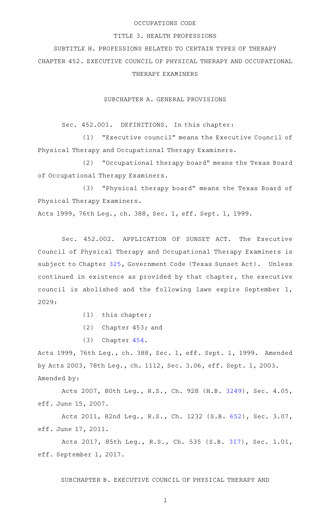## OCCUPATIONS CODE

## TITLE 3. HEALTH PROFESSIONS

SUBTITLE H. PROFESSIONS RELATED TO CERTAIN TYPES OF THERAPY

CHAPTER 452. EXECUTIVE COUNCIL OF PHYSICAL THERAPY AND OCCUPATIONAL

THERAPY EXAMINERS

SUBCHAPTER A. GENERAL PROVISIONS

Sec. 452.001. DEFINITIONS. In this chapter:

(1) "Executive council" means the Executive Council of Physical Therapy and Occupational Therapy Examiners.

(2) "Occupational therapy board" means the Texas Board of Occupational Therapy Examiners.

(3) "Physical therapy board" means the Texas Board of Physical Therapy Examiners.

Acts 1999, 76th Leg., ch. 388, Sec. 1, eff. Sept. 1, 1999.

Sec. 452.002. APPLICATION OF SUNSET ACT. The Executive Council of Physical Therapy and Occupational Therapy Examiners is subject to Chapter [325,](http://www.statutes.legis.state.tx.us/GetStatute.aspx?Code=GV&Value=325) Government Code (Texas Sunset Act). Unless continued in existence as provided by that chapter, the executive council is abolished and the following laws expire September 1, 2029:

- $(1)$  this chapter;
- $(2)$  Chapter 453; and
- $(3)$  Chapter  $454$ .

Acts 1999, 76th Leg., ch. 388, Sec. 1, eff. Sept. 1, 1999. Amended by Acts 2003, 78th Leg., ch. 1112, Sec. 3.06, eff. Sept. 1, 2003. Amended by:

Acts 2007, 80th Leg., R.S., Ch. 928 (H.B. [3249\)](http://www.legis.state.tx.us/tlodocs/80R/billtext/html/HB03249F.HTM), Sec. 4.05, eff. June 15, 2007.

Acts 2011, 82nd Leg., R.S., Ch. 1232 (S.B. [652\)](http://www.legis.state.tx.us/tlodocs/82R/billtext/html/SB00652F.HTM), Sec. 3.07, eff. June 17, 2011.

Acts 2017, 85th Leg., R.S., Ch. 535 (S.B. [317](http://www.legis.state.tx.us/tlodocs/85R/billtext/html/SB00317F.HTM)), Sec. 1.01, eff. September 1, 2017.

SUBCHAPTER B. EXECUTIVE COUNCIL OF PHYSICAL THERAPY AND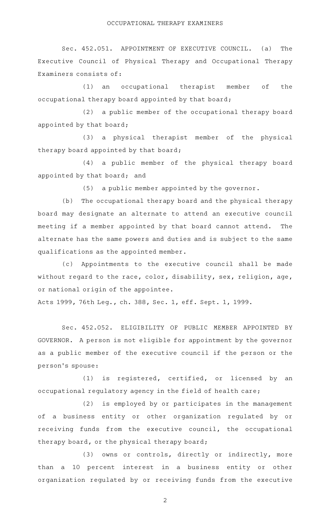Sec. 452.051. APPOINTMENT OF EXECUTIVE COUNCIL. (a) The Executive Council of Physical Therapy and Occupational Therapy Examiners consists of:

 $(1)$  an occupational therapist member of the occupational therapy board appointed by that board;

(2) a public member of the occupational therapy board appointed by that board;

(3) a physical therapist member of the physical therapy board appointed by that board;

(4) a public member of the physical therapy board appointed by that board; and

(5) a public member appointed by the governor.

(b) The occupational therapy board and the physical therapy board may designate an alternate to attend an executive council meeting if a member appointed by that board cannot attend. The alternate has the same powers and duties and is subject to the same qualifications as the appointed member.

(c) Appointments to the executive council shall be made without regard to the race, color, disability, sex, religion, age, or national origin of the appointee.

Acts 1999, 76th Leg., ch. 388, Sec. 1, eff. Sept. 1, 1999.

Sec. 452.052. ELIGIBILITY OF PUBLIC MEMBER APPOINTED BY GOVERNOR. A person is not eligible for appointment by the governor as a public member of the executive council if the person or the person 's spouse:

(1) is registered, certified, or licensed by an occupational regulatory agency in the field of health care;

 $(2)$  is employed by or participates in the management of a business entity or other organization regulated by or receiving funds from the executive council, the occupational therapy board, or the physical therapy board;

(3) owns or controls, directly or indirectly, more than a 10 percent interest in a business entity or other organization regulated by or receiving funds from the executive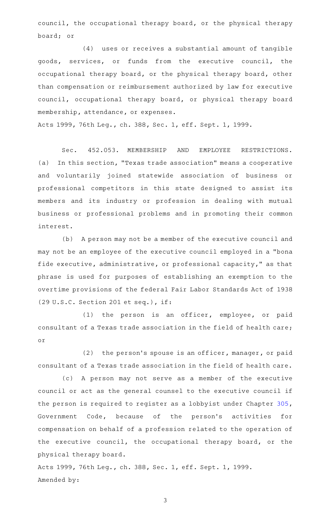council, the occupational therapy board, or the physical therapy board; or

(4) uses or receives a substantial amount of tangible goods, services, or funds from the executive council, the occupational therapy board, or the physical therapy board, other than compensation or reimbursement authorized by law for executive council, occupational therapy board, or physical therapy board membership, attendance, or expenses.

Acts 1999, 76th Leg., ch. 388, Sec. 1, eff. Sept. 1, 1999.

Sec. 452.053. MEMBERSHIP AND EMPLOYEE RESTRICTIONS. (a) In this section, "Texas trade association" means a cooperative and voluntarily joined statewide association of business or professional competitors in this state designed to assist its members and its industry or profession in dealing with mutual business or professional problems and in promoting their common interest.

(b) A person may not be a member of the executive council and may not be an employee of the executive council employed in a "bona fide executive, administrative, or professional capacity," as that phrase is used for purposes of establishing an exemption to the overtime provisions of the federal Fair Labor Standards Act of 1938 (29 U.S.C. Section 201 et seq.), if:

 $(1)$  the person is an officer, employee, or paid consultant of a Texas trade association in the field of health care; or

 $(2)$  the person's spouse is an officer, manager, or paid consultant of a Texas trade association in the field of health care.

(c)AAA person may not serve as a member of the executive council or act as the general counsel to the executive council if the person is required to register as a lobbyist under Chapter [305](http://www.statutes.legis.state.tx.us/GetStatute.aspx?Code=GV&Value=305), Government Code, because of the person's activities for compensation on behalf of a profession related to the operation of the executive council, the occupational therapy board, or the physical therapy board.

Acts 1999, 76th Leg., ch. 388, Sec. 1, eff. Sept. 1, 1999. Amended by: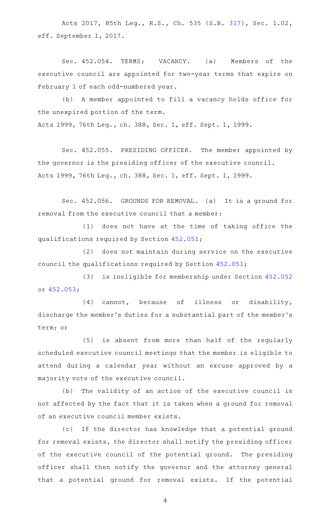Acts 2017, 85th Leg., R.S., Ch. 535 (S.B. [317](http://www.legis.state.tx.us/tlodocs/85R/billtext/html/SB00317F.HTM)), Sec. 1.02, eff. September 1, 2017.

Sec. 452.054. TERMS; VACANCY. (a) Members of the executive council are appointed for two-year terms that expire on February 1 of each odd-numbered year.

(b) A member appointed to fill a vacancy holds office for the unexpired portion of the term. Acts 1999, 76th Leg., ch. 388, Sec. 1, eff. Sept. 1, 1999.

Sec. 452.055. PRESIDING OFFICER. The member appointed by the governor is the presiding officer of the executive council. Acts 1999, 76th Leg., ch. 388, Sec. 1, eff. Sept. 1, 1999.

Sec. 452.056. GROUNDS FOR REMOVAL. (a) It is a ground for removal from the executive council that a member:

(1) does not have at the time of taking office the qualifications required by Section [452.051;](http://www.statutes.legis.state.tx.us/GetStatute.aspx?Code=OC&Value=452.051)

(2) does not maintain during service on the executive council the qualifications required by Section [452.051](http://www.statutes.legis.state.tx.us/GetStatute.aspx?Code=OC&Value=452.051);

(3) is ineligible for membership under Section [452.052](http://www.statutes.legis.state.tx.us/GetStatute.aspx?Code=OC&Value=452.052) or [452.053;](http://www.statutes.legis.state.tx.us/GetStatute.aspx?Code=OC&Value=452.053)

(4) cannot, because of illness or disability, discharge the member 's duties for a substantial part of the member 's term; or

(5) is absent from more than half of the regularly scheduled executive council meetings that the member is eligible to attend during a calendar year without an excuse approved by a majority vote of the executive council.

(b) The validity of an action of the executive council is not affected by the fact that it is taken when a ground for removal of an executive council member exists.

(c) If the director has knowledge that a potential ground for removal exists, the director shall notify the presiding officer of the executive council of the potential ground. The presiding officer shall then notify the governor and the attorney general that a potential ground for removal exists. If the potential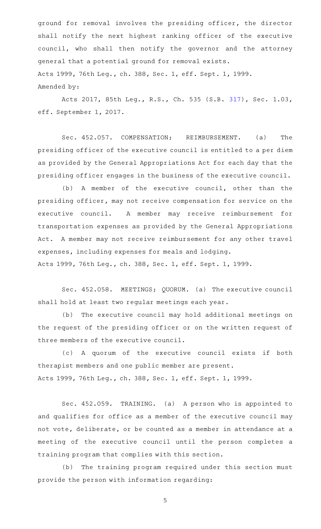ground for removal involves the presiding officer, the director shall notify the next highest ranking officer of the executive council, who shall then notify the governor and the attorney general that a potential ground for removal exists. Acts 1999, 76th Leg., ch. 388, Sec. 1, eff. Sept. 1, 1999. Amended by:

Acts 2017, 85th Leg., R.S., Ch. 535 (S.B. [317](http://www.legis.state.tx.us/tlodocs/85R/billtext/html/SB00317F.HTM)), Sec. 1.03, eff. September 1, 2017.

Sec. 452.057. COMPENSATION; REIMBURSEMENT. (a) The presiding officer of the executive council is entitled to a per diem as provided by the General Appropriations Act for each day that the presiding officer engages in the business of the executive council.

(b) A member of the executive council, other than the presiding officer, may not receive compensation for service on the executive council. A member may receive reimbursement for transportation expenses as provided by the General Appropriations Act. A member may not receive reimbursement for any other travel expenses, including expenses for meals and lodging.

Acts 1999, 76th Leg., ch. 388, Sec. 1, eff. Sept. 1, 1999.

Sec. 452.058. MEETINGS; QUORUM. (a) The executive council shall hold at least two regular meetings each year.

(b) The executive council may hold additional meetings on the request of the presiding officer or on the written request of three members of the executive council.

(c)AAA quorum of the executive council exists if both therapist members and one public member are present. Acts 1999, 76th Leg., ch. 388, Sec. 1, eff. Sept. 1, 1999.

Sec. 452.059. TRAINING. (a) A person who is appointed to and qualifies for office as a member of the executive council may not vote, deliberate, or be counted as a member in attendance at a meeting of the executive council until the person completes a training program that complies with this section.

(b) The training program required under this section must provide the person with information regarding: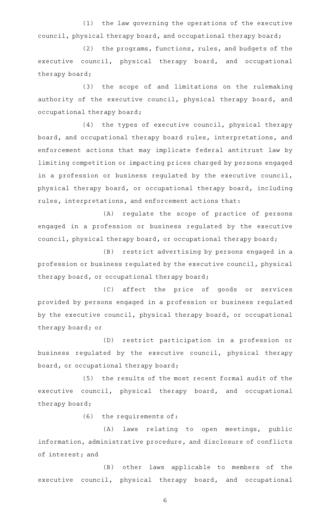(1) the law governing the operations of the executive council, physical therapy board, and occupational therapy board;

(2) the programs, functions, rules, and budgets of the executive council, physical therapy board, and occupational therapy board;

(3) the scope of and limitations on the rulemaking authority of the executive council, physical therapy board, and occupational therapy board;

(4) the types of executive council, physical therapy board, and occupational therapy board rules, interpretations, and enforcement actions that may implicate federal antitrust law by limiting competition or impacting prices charged by persons engaged in a profession or business regulated by the executive council, physical therapy board, or occupational therapy board, including rules, interpretations, and enforcement actions that:

(A) regulate the scope of practice of persons engaged in a profession or business regulated by the executive council, physical therapy board, or occupational therapy board;

(B) restrict advertising by persons engaged in a profession or business regulated by the executive council, physical therapy board, or occupational therapy board;

(C) affect the price of goods or services provided by persons engaged in a profession or business regulated by the executive council, physical therapy board, or occupational therapy board; or

(D) restrict participation in a profession or business regulated by the executive council, physical therapy board, or occupational therapy board;

(5) the results of the most recent formal audit of the executive council, physical therapy board, and occupational therapy board;

(6) the requirements of:

(A) laws relating to open meetings, public information, administrative procedure, and disclosure of conflicts of interest; and

(B) other laws applicable to members of the executive council, physical therapy board, and occupational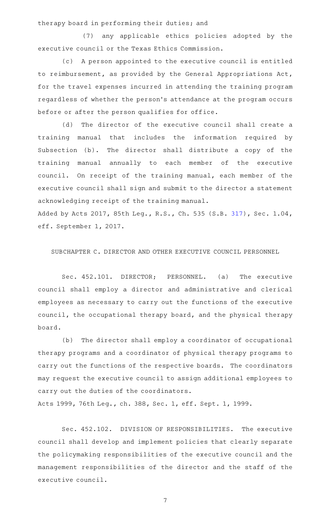therapy board in performing their duties; and

(7) any applicable ethics policies adopted by the executive council or the Texas Ethics Commission.

(c) A person appointed to the executive council is entitled to reimbursement, as provided by the General Appropriations Act, for the travel expenses incurred in attending the training program regardless of whether the person 's attendance at the program occurs before or after the person qualifies for office.

(d) The director of the executive council shall create a training manual that includes the information required by Subsection (b). The director shall distribute a copy of the training manual annually to each member of the executive council. On receipt of the training manual, each member of the executive council shall sign and submit to the director a statement acknowledging receipt of the training manual.

Added by Acts 2017, 85th Leg., R.S., Ch. 535 (S.B. [317](http://www.legis.state.tx.us/tlodocs/85R/billtext/html/SB00317F.HTM)), Sec. 1.04, eff. September 1, 2017.

SUBCHAPTER C. DIRECTOR AND OTHER EXECUTIVE COUNCIL PERSONNEL

Sec. 452.101. DIRECTOR; PERSONNEL. (a) The executive council shall employ a director and administrative and clerical employees as necessary to carry out the functions of the executive council, the occupational therapy board, and the physical therapy board.

(b) The director shall employ a coordinator of occupational therapy programs and a coordinator of physical therapy programs to carry out the functions of the respective boards. The coordinators may request the executive council to assign additional employees to carry out the duties of the coordinators.

Acts 1999, 76th Leg., ch. 388, Sec. 1, eff. Sept. 1, 1999.

Sec. 452.102. DIVISION OF RESPONSIBILITIES. The executive council shall develop and implement policies that clearly separate the policymaking responsibilities of the executive council and the management responsibilities of the director and the staff of the executive council.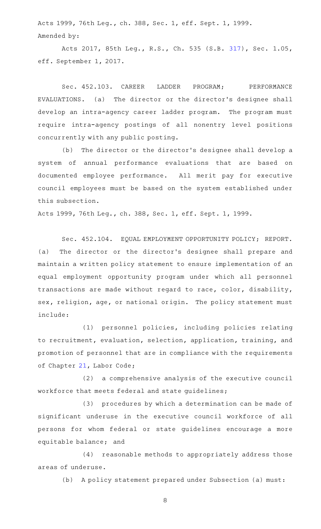Acts 1999, 76th Leg., ch. 388, Sec. 1, eff. Sept. 1, 1999. Amended by:

Acts 2017, 85th Leg., R.S., Ch. 535 (S.B. [317](http://www.legis.state.tx.us/tlodocs/85R/billtext/html/SB00317F.HTM)), Sec. 1.05, eff. September 1, 2017.

Sec. 452.103. CAREER LADDER PROGRAM; PERFORMANCE EVALUATIONS. (a) The director or the director 's designee shall develop an intra-agency career ladder program. The program must require intra-agency postings of all nonentry level positions concurrently with any public posting.

(b) The director or the director's designee shall develop a system of annual performance evaluations that are based on documented employee performance. All merit pay for executive council employees must be based on the system established under this subsection.

Acts 1999, 76th Leg., ch. 388, Sec. 1, eff. Sept. 1, 1999.

Sec. 452.104. EQUAL EMPLOYMENT OPPORTUNITY POLICY; REPORT. (a) The director or the director 's designee shall prepare and maintain a written policy statement to ensure implementation of an equal employment opportunity program under which all personnel transactions are made without regard to race, color, disability, sex, religion, age, or national origin. The policy statement must include:

(1) personnel policies, including policies relating to recruitment, evaluation, selection, application, training, and promotion of personnel that are in compliance with the requirements of Chapter [21](http://www.statutes.legis.state.tx.us/GetStatute.aspx?Code=LA&Value=21), Labor Code;

(2) a comprehensive analysis of the executive council workforce that meets federal and state guidelines;

(3) procedures by which a determination can be made of significant underuse in the executive council workforce of all persons for whom federal or state guidelines encourage a more equitable balance; and

(4) reasonable methods to appropriately address those areas of underuse.

(b) A policy statement prepared under Subsection (a) must: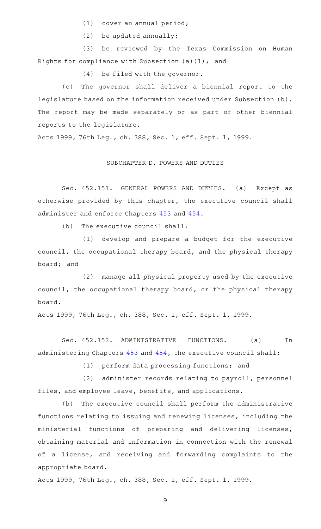$(1)$  cover an annual period;

 $(2)$  be updated annually;

(3) be reviewed by the Texas Commission on Human Rights for compliance with Subsection (a)(1); and

 $(4)$  be filed with the governor.

(c) The governor shall deliver a biennial report to the legislature based on the information received under Subsection (b). The report may be made separately or as part of other biennial reports to the legislature.

Acts 1999, 76th Leg., ch. 388, Sec. 1, eff. Sept. 1, 1999.

## SUBCHAPTER D. POWERS AND DUTIES

Sec. 452.151. GENERAL POWERS AND DUTIES. (a) Except as otherwise provided by this chapter, the executive council shall administer and enforce Chapters [453](http://www.statutes.legis.state.tx.us/GetStatute.aspx?Code=OC&Value=453) and [454](http://www.statutes.legis.state.tx.us/GetStatute.aspx?Code=OC&Value=454).

 $(b)$  The executive council shall:

(1) develop and prepare a budget for the executive council, the occupational therapy board, and the physical therapy board; and

(2) manage all physical property used by the executive council, the occupational therapy board, or the physical therapy board.

Acts 1999, 76th Leg., ch. 388, Sec. 1, eff. Sept. 1, 1999.

Sec. 452.152. ADMINISTRATIVE FUNCTIONS. (a) In administering Chapters [453](http://www.statutes.legis.state.tx.us/GetStatute.aspx?Code=OC&Value=453) and [454,](http://www.statutes.legis.state.tx.us/GetStatute.aspx?Code=OC&Value=454) the executive council shall:

(1) perform data processing functions; and

(2) administer records relating to payroll, personnel files, and employee leave, benefits, and applications.

(b) The executive council shall perform the administrative functions relating to issuing and renewing licenses, including the ministerial functions of preparing and delivering licenses, obtaining material and information in connection with the renewal of a license, and receiving and forwarding complaints to the appropriate board.

Acts 1999, 76th Leg., ch. 388, Sec. 1, eff. Sept. 1, 1999.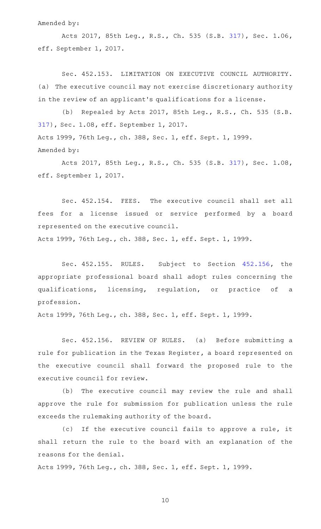Amended by:

Acts 2017, 85th Leg., R.S., Ch. 535 (S.B. [317](http://www.legis.state.tx.us/tlodocs/85R/billtext/html/SB00317F.HTM)), Sec. 1.06, eff. September 1, 2017.

Sec. 452.153. LIMITATION ON EXECUTIVE COUNCIL AUTHORITY. (a) The executive council may not exercise discretionary authority in the review of an applicant 's qualifications for a license.

(b) Repealed by Acts 2017, 85th Leg., R.S., Ch. 535 (S.B. [317\)](http://www.legis.state.tx.us/tlodocs/85R/billtext/html/SB00317F.HTM), Sec. 1.08, eff. September 1, 2017. Acts 1999, 76th Leg., ch. 388, Sec. 1, eff. Sept. 1, 1999. Amended by:

Acts 2017, 85th Leg., R.S., Ch. 535 (S.B. [317](http://www.legis.state.tx.us/tlodocs/85R/billtext/html/SB00317F.HTM)), Sec. 1.08, eff. September 1, 2017.

Sec. 452.154. FEES. The executive council shall set all fees for a license issued or service performed by a board represented on the executive council.

Acts 1999, 76th Leg., ch. 388, Sec. 1, eff. Sept. 1, 1999.

Sec. 452.155. RULES. Subject to Section [452.156,](http://www.statutes.legis.state.tx.us/GetStatute.aspx?Code=OC&Value=452.156) the appropriate professional board shall adopt rules concerning the qualifications, licensing, regulation, or practice of a profession.

Acts 1999, 76th Leg., ch. 388, Sec. 1, eff. Sept. 1, 1999.

Sec. 452.156. REVIEW OF RULES. (a) Before submitting a rule for publication in the Texas Register, a board represented on the executive council shall forward the proposed rule to the executive council for review.

(b) The executive council may review the rule and shall approve the rule for submission for publication unless the rule exceeds the rulemaking authority of the board.

(c) If the executive council fails to approve a rule, it shall return the rule to the board with an explanation of the reasons for the denial.

Acts 1999, 76th Leg., ch. 388, Sec. 1, eff. Sept. 1, 1999.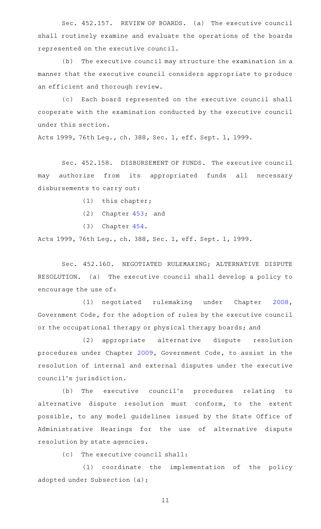Sec. 452.157. REVIEW OF BOARDS. (a) The executive council shall routinely examine and evaluate the operations of the boards represented on the executive council.

(b) The executive council may structure the examination in a manner that the executive council considers appropriate to produce an efficient and thorough review.

(c) Each board represented on the executive council shall cooperate with the examination conducted by the executive council under this section.

Acts 1999, 76th Leg., ch. 388, Sec. 1, eff. Sept. 1, 1999.

Sec. 452.158. DISBURSEMENT OF FUNDS. The executive council may authorize from its appropriated funds all necessary disbursements to carry out:

 $(1)$  this chapter;

(2) Chapter [453;](http://www.statutes.legis.state.tx.us/GetStatute.aspx?Code=OC&Value=453) and

 $(3)$  Chapter  $454$ .

Acts 1999, 76th Leg., ch. 388, Sec. 1, eff. Sept. 1, 1999.

Sec. 452.160. NEGOTIATED RULEMAKING; ALTERNATIVE DISPUTE RESOLUTION. (a) The executive council shall develop a policy to encourage the use of:

(1) negotiated rulemaking under Chapter [2008](http://www.statutes.legis.state.tx.us/GetStatute.aspx?Code=GV&Value=2008), Government Code, for the adoption of rules by the executive council or the occupational therapy or physical therapy boards; and

(2) appropriate alternative dispute resolution procedures under Chapter [2009,](http://www.statutes.legis.state.tx.us/GetStatute.aspx?Code=GV&Value=2009) Government Code, to assist in the resolution of internal and external disputes under the executive council 's jurisdiction.

(b) The executive council's procedures relating to alternative dispute resolution must conform, to the extent possible, to any model guidelines issued by the State Office of Administrative Hearings for the use of alternative dispute resolution by state agencies.

 $(c)$  The executive council shall:

(1) coordinate the implementation of the policy adopted under Subsection (a);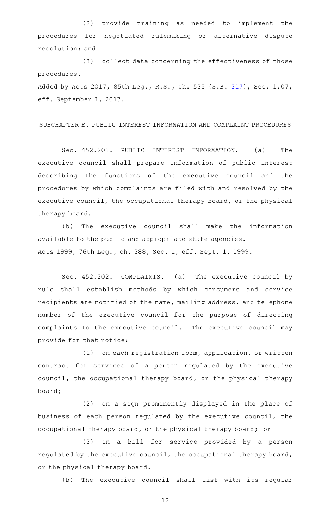(2) provide training as needed to implement the procedures for negotiated rulemaking or alternative dispute resolution; and

(3) collect data concerning the effectiveness of those procedures. Added by Acts 2017, 85th Leg., R.S., Ch. 535 (S.B. [317](http://www.legis.state.tx.us/tlodocs/85R/billtext/html/SB00317F.HTM)), Sec. 1.07,

eff. September 1, 2017.

SUBCHAPTER E. PUBLIC INTEREST INFORMATION AND COMPLAINT PROCEDURES

Sec. 452.201. PUBLIC INTEREST INFORMATION. (a) The executive council shall prepare information of public interest describing the functions of the executive council and the procedures by which complaints are filed with and resolved by the executive council, the occupational therapy board, or the physical therapy board.

(b) The executive council shall make the information available to the public and appropriate state agencies. Acts 1999, 76th Leg., ch. 388, Sec. 1, eff. Sept. 1, 1999.

Sec. 452.202. COMPLAINTS. (a) The executive council by rule shall establish methods by which consumers and service recipients are notified of the name, mailing address, and telephone number of the executive council for the purpose of directing complaints to the executive council. The executive council may provide for that notice:

 $(1)$  on each registration form, application, or written contract for services of a person regulated by the executive council, the occupational therapy board, or the physical therapy board;

(2) on a sign prominently displayed in the place of business of each person regulated by the executive council, the occupational therapy board, or the physical therapy board; or

(3) in a bill for service provided by a person regulated by the executive council, the occupational therapy board, or the physical therapy board.

(b) The executive council shall list with its regular